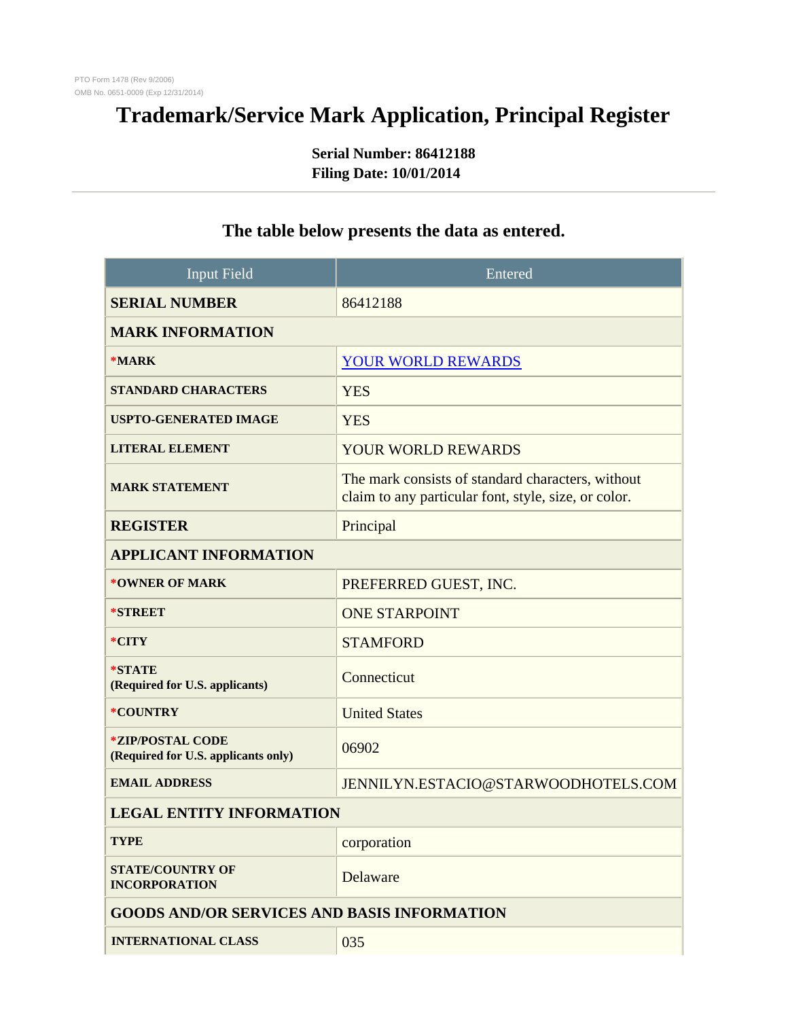## **Trademark/Service Mark Application, Principal Register**

**Serial Number: 86412188 Filing Date: 10/01/2014**

| <b>Input Field</b>                                             | Entered                                                                                                   |
|----------------------------------------------------------------|-----------------------------------------------------------------------------------------------------------|
| <b>SERIAL NUMBER</b>                                           | 86412188                                                                                                  |
| <b>MARK INFORMATION</b>                                        |                                                                                                           |
| $*MARK$                                                        | <b>YOUR WORLD REWARDS</b>                                                                                 |
| <b>STANDARD CHARACTERS</b>                                     | <b>YES</b>                                                                                                |
| <b>USPTO-GENERATED IMAGE</b>                                   | <b>YES</b>                                                                                                |
| <b>LITERAL ELEMENT</b>                                         | <b>YOUR WORLD REWARDS</b>                                                                                 |
| <b>MARK STATEMENT</b>                                          | The mark consists of standard characters, without<br>claim to any particular font, style, size, or color. |
| <b>REGISTER</b>                                                | Principal                                                                                                 |
| <b>APPLICANT INFORMATION</b>                                   |                                                                                                           |
| *OWNER OF MARK                                                 | PREFERRED GUEST, INC.                                                                                     |
| <b>*STREET</b>                                                 | <b>ONE STARPOINT</b>                                                                                      |
| *CITY                                                          | <b>STAMFORD</b>                                                                                           |
| *STATE<br>(Required for U.S. applicants)                       | Connecticut                                                                                               |
| *COUNTRY                                                       | <b>United States</b>                                                                                      |
| <i>*ZIP/POSTAL CODE</i><br>(Required for U.S. applicants only) | 06902                                                                                                     |
| <b>EMAIL ADDRESS</b>                                           | JENNILYN.ESTACIO@STARWOODHOTELS.COM                                                                       |
| <b>LEGAL ENTITY INFORMATION</b>                                |                                                                                                           |
| <b>TYPE</b>                                                    | corporation                                                                                               |
| <b>STATE/COUNTRY OF</b><br><b>INCORPORATION</b>                | Delaware                                                                                                  |
| <b>GOODS AND/OR SERVICES AND BASIS INFORMATION</b>             |                                                                                                           |
| <b>INTERNATIONAL CLASS</b>                                     | 035                                                                                                       |

## **The table below presents the data as entered.**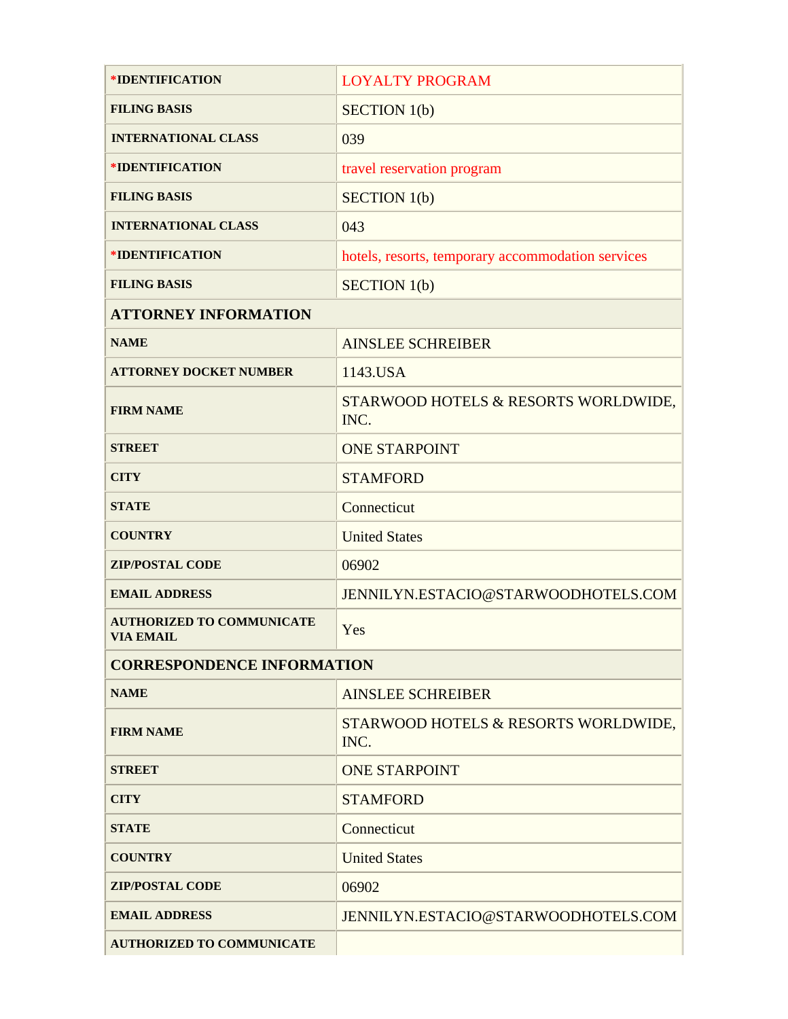| *IDENTIFICATION                                      | <b>LOYALTY PROGRAM</b>                            |  |
|------------------------------------------------------|---------------------------------------------------|--|
| <b>FILING BASIS</b>                                  | SECTION 1(b)                                      |  |
| <b>INTERNATIONAL CLASS</b>                           | 039                                               |  |
| *IDENTIFICATION                                      | travel reservation program                        |  |
| <b>FILING BASIS</b>                                  | SECTION 1(b)                                      |  |
| <b>INTERNATIONAL CLASS</b>                           | 043                                               |  |
| *IDENTIFICATION                                      | hotels, resorts, temporary accommodation services |  |
| <b>FILING BASIS</b>                                  | SECTION 1(b)                                      |  |
| <b>ATTORNEY INFORMATION</b>                          |                                                   |  |
| <b>NAME</b>                                          | <b>AINSLEE SCHREIBER</b>                          |  |
| <b>ATTORNEY DOCKET NUMBER</b>                        | 1143.USA                                          |  |
| <b>FIRM NAME</b>                                     | STARWOOD HOTELS & RESORTS WORLDWIDE,<br>INC.      |  |
| <b>STREET</b>                                        | <b>ONE STARPOINT</b>                              |  |
| <b>CITY</b>                                          | <b>STAMFORD</b>                                   |  |
| <b>STATE</b>                                         | Connecticut                                       |  |
| <b>COUNTRY</b>                                       | <b>United States</b>                              |  |
| <b>ZIP/POSTAL CODE</b>                               | 06902                                             |  |
| <b>EMAIL ADDRESS</b>                                 | JENNILYN.ESTACIO@STARWOODHOTELS.COM               |  |
| <b>AUTHORIZED TO COMMUNICATE</b><br><b>VIA EMAIL</b> | Yes                                               |  |
| <b>CORRESPONDENCE INFORMATION</b>                    |                                                   |  |
| <b>NAME</b>                                          | <b>AINSLEE SCHREIBER</b>                          |  |
| <b>FIRM NAME</b>                                     | STARWOOD HOTELS & RESORTS WORLDWIDE,<br>INC.      |  |
| <b>STREET</b>                                        | <b>ONE STARPOINT</b>                              |  |
| <b>CITY</b>                                          | <b>STAMFORD</b>                                   |  |
| <b>STATE</b>                                         | Connecticut                                       |  |
| <b>COUNTRY</b>                                       | <b>United States</b>                              |  |
| <b>ZIP/POSTAL CODE</b>                               | 06902                                             |  |
| <b>EMAIL ADDRESS</b>                                 | JENNILYN.ESTACIO@STARWOODHOTELS.COM               |  |
| <b>AUTHORIZED TO COMMUNICATE</b>                     |                                                   |  |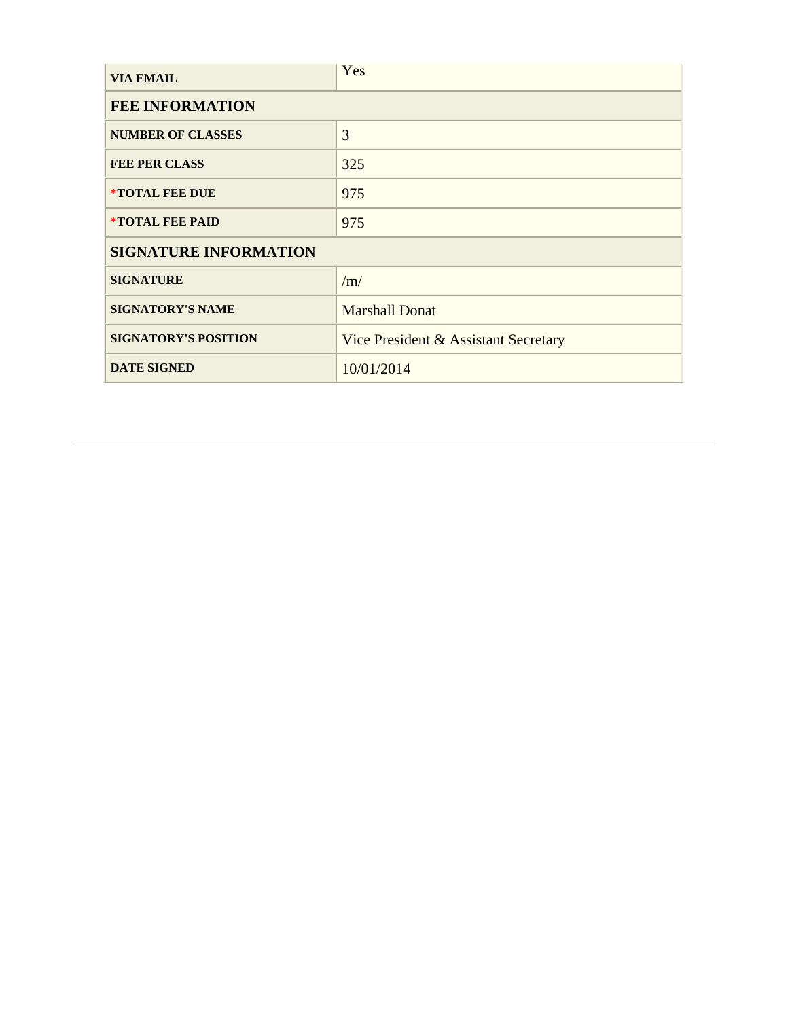| <b>VIA EMAIL</b>              | Yes                                  |
|-------------------------------|--------------------------------------|
| <b>FEE INFORMATION</b>        |                                      |
| <b>NUMBER OF CLASSES</b>      | 3                                    |
| <b>FEE PER CLASS</b>          | 325                                  |
| <i><b>*TOTAL FEE DUE</b></i>  | 975                                  |
| <i><b>*TOTAL FEE PAID</b></i> | 975                                  |
| <b>SIGNATURE INFORMATION</b>  |                                      |
| <b>SIGNATURE</b>              | /m/                                  |
| <b>SIGNATORY'S NAME</b>       | <b>Marshall Donat</b>                |
| <b>SIGNATORY'S POSITION</b>   | Vice President & Assistant Secretary |
| <b>DATE SIGNED</b>            | 10/01/2014                           |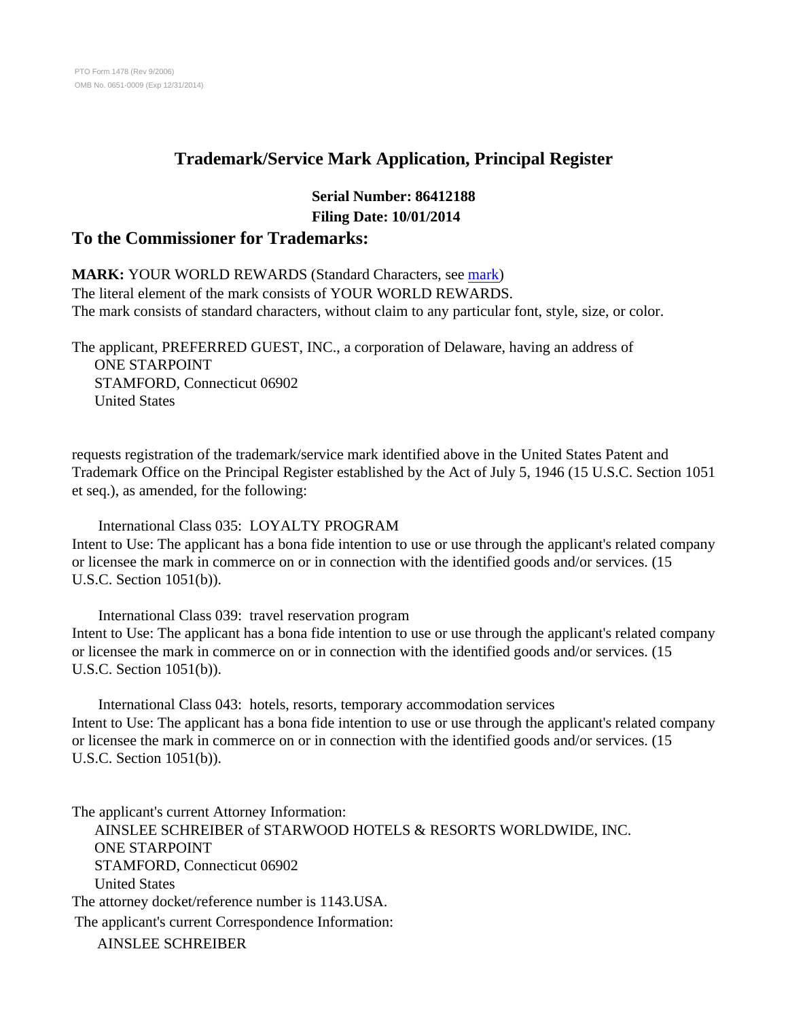### **Trademark/Service Mark Application, Principal Register**

## **Serial Number: 86412188 Filing Date: 10/01/2014**

#### **To the Commissioner for Trademarks:**

#### **MARK:** YOUR WORLD REWARDS (Standard Characters, see [mark](../APP0002.JPG))

The literal element of the mark consists of YOUR WORLD REWARDS. The mark consists of standard characters, without claim to any particular font, style, size, or color.

The applicant, PREFERRED GUEST, INC., a corporation of Delaware, having an address of ONE STARPOINT STAMFORD, Connecticut 06902 United States

requests registration of the trademark/service mark identified above in the United States Patent and Trademark Office on the Principal Register established by the Act of July 5, 1946 (15 U.S.C. Section 1051 et seq.), as amended, for the following:

#### International Class 035: LOYALTY PROGRAM

Intent to Use: The applicant has a bona fide intention to use or use through the applicant's related company or licensee the mark in commerce on or in connection with the identified goods and/or services. (15 U.S.C. Section 1051(b)).

 International Class 039: travel reservation program Intent to Use: The applicant has a bona fide intention to use or use through the applicant's related company or licensee the mark in commerce on or in connection with the identified goods and/or services. (15 U.S.C. Section 1051(b)).

 International Class 043: hotels, resorts, temporary accommodation services Intent to Use: The applicant has a bona fide intention to use or use through the applicant's related company or licensee the mark in commerce on or in connection with the identified goods and/or services. (15 U.S.C. Section 1051(b)).

The applicant's current Attorney Information: AINSLEE SCHREIBER of STARWOOD HOTELS & RESORTS WORLDWIDE, INC. ONE STARPOINT STAMFORD, Connecticut 06902 United States The attorney docket/reference number is 1143.USA. The applicant's current Correspondence Information: AINSLEE SCHREIBER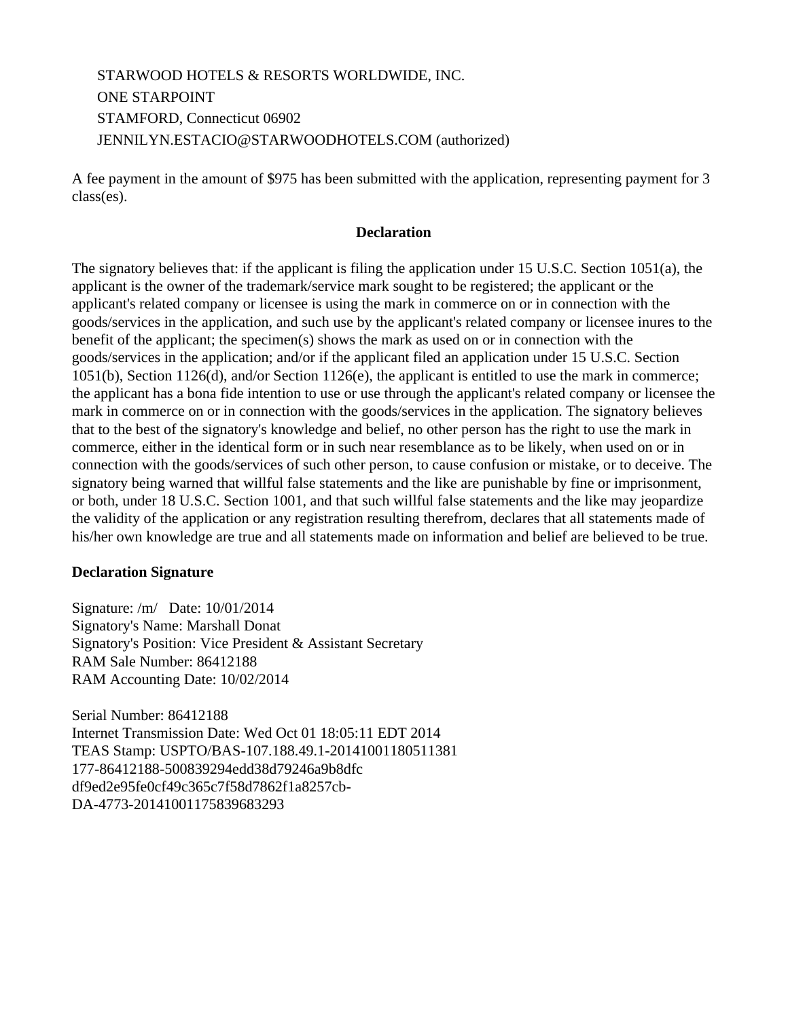STARWOOD HOTELS & RESORTS WORLDWIDE, INC. ONE STARPOINT STAMFORD, Connecticut 06902 JENNILYN.ESTACIO@STARWOODHOTELS.COM (authorized)

A fee payment in the amount of \$975 has been submitted with the application, representing payment for 3 class(es).

#### **Declaration**

The signatory believes that: if the applicant is filing the application under 15 U.S.C. Section 1051(a), the applicant is the owner of the trademark/service mark sought to be registered; the applicant or the applicant's related company or licensee is using the mark in commerce on or in connection with the goods/services in the application, and such use by the applicant's related company or licensee inures to the benefit of the applicant; the specimen(s) shows the mark as used on or in connection with the goods/services in the application; and/or if the applicant filed an application under 15 U.S.C. Section 1051(b), Section 1126(d), and/or Section 1126(e), the applicant is entitled to use the mark in commerce; the applicant has a bona fide intention to use or use through the applicant's related company or licensee the mark in commerce on or in connection with the goods/services in the application. The signatory believes that to the best of the signatory's knowledge and belief, no other person has the right to use the mark in commerce, either in the identical form or in such near resemblance as to be likely, when used on or in connection with the goods/services of such other person, to cause confusion or mistake, or to deceive. The signatory being warned that willful false statements and the like are punishable by fine or imprisonment, or both, under 18 U.S.C. Section 1001, and that such willful false statements and the like may jeopardize the validity of the application or any registration resulting therefrom, declares that all statements made of his/her own knowledge are true and all statements made on information and belief are believed to be true.

#### **Declaration Signature**

Signature: /m/ Date: 10/01/2014 Signatory's Name: Marshall Donat Signatory's Position: Vice President & Assistant Secretary RAM Sale Number: 86412188 RAM Accounting Date: 10/02/2014

Serial Number: 86412188 Internet Transmission Date: Wed Oct 01 18:05:11 EDT 2014 TEAS Stamp: USPTO/BAS-107.188.49.1-20141001180511381 177-86412188-500839294edd38d79246a9b8dfc df9ed2e95fe0cf49c365c7f58d7862f1a8257cb-DA-4773-20141001175839683293